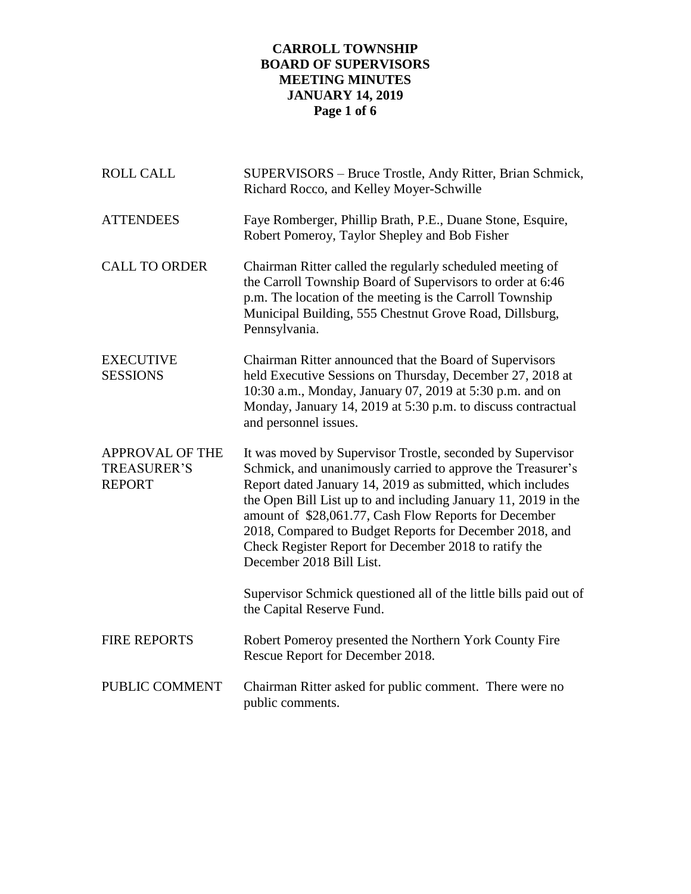# **CARROLL TOWNSHIP BOARD OF SUPERVISORS MEETING MINUTES JANUARY 14, 2019 Page 1 of 6**

| <b>ROLL CALL</b>                                              | SUPERVISORS - Bruce Trostle, Andy Ritter, Brian Schmick,<br>Richard Rocco, and Kelley Moyer-Schwille                                                                                                                                                                                                                                                                                                                                                               |
|---------------------------------------------------------------|--------------------------------------------------------------------------------------------------------------------------------------------------------------------------------------------------------------------------------------------------------------------------------------------------------------------------------------------------------------------------------------------------------------------------------------------------------------------|
| <b>ATTENDEES</b>                                              | Faye Romberger, Phillip Brath, P.E., Duane Stone, Esquire,<br>Robert Pomeroy, Taylor Shepley and Bob Fisher                                                                                                                                                                                                                                                                                                                                                        |
| <b>CALL TO ORDER</b>                                          | Chairman Ritter called the regularly scheduled meeting of<br>the Carroll Township Board of Supervisors to order at 6:46<br>p.m. The location of the meeting is the Carroll Township<br>Municipal Building, 555 Chestnut Grove Road, Dillsburg,<br>Pennsylvania.                                                                                                                                                                                                    |
| <b>EXECUTIVE</b><br><b>SESSIONS</b>                           | Chairman Ritter announced that the Board of Supervisors<br>held Executive Sessions on Thursday, December 27, 2018 at<br>10:30 a.m., Monday, January 07, 2019 at 5:30 p.m. and on<br>Monday, January 14, 2019 at 5:30 p.m. to discuss contractual<br>and personnel issues.                                                                                                                                                                                          |
| <b>APPROVAL OF THE</b><br><b>TREASURER'S</b><br><b>REPORT</b> | It was moved by Supervisor Trostle, seconded by Supervisor<br>Schmick, and unanimously carried to approve the Treasurer's<br>Report dated January 14, 2019 as submitted, which includes<br>the Open Bill List up to and including January 11, 2019 in the<br>amount of \$28,061.77, Cash Flow Reports for December<br>2018, Compared to Budget Reports for December 2018, and<br>Check Register Report for December 2018 to ratify the<br>December 2018 Bill List. |
|                                                               | Supervisor Schmick questioned all of the little bills paid out of<br>the Capital Reserve Fund.                                                                                                                                                                                                                                                                                                                                                                     |
| <b>FIRE REPORTS</b>                                           | Robert Pomeroy presented the Northern York County Fire<br>Rescue Report for December 2018.                                                                                                                                                                                                                                                                                                                                                                         |
| PUBLIC COMMENT                                                | Chairman Ritter asked for public comment. There were no<br>public comments.                                                                                                                                                                                                                                                                                                                                                                                        |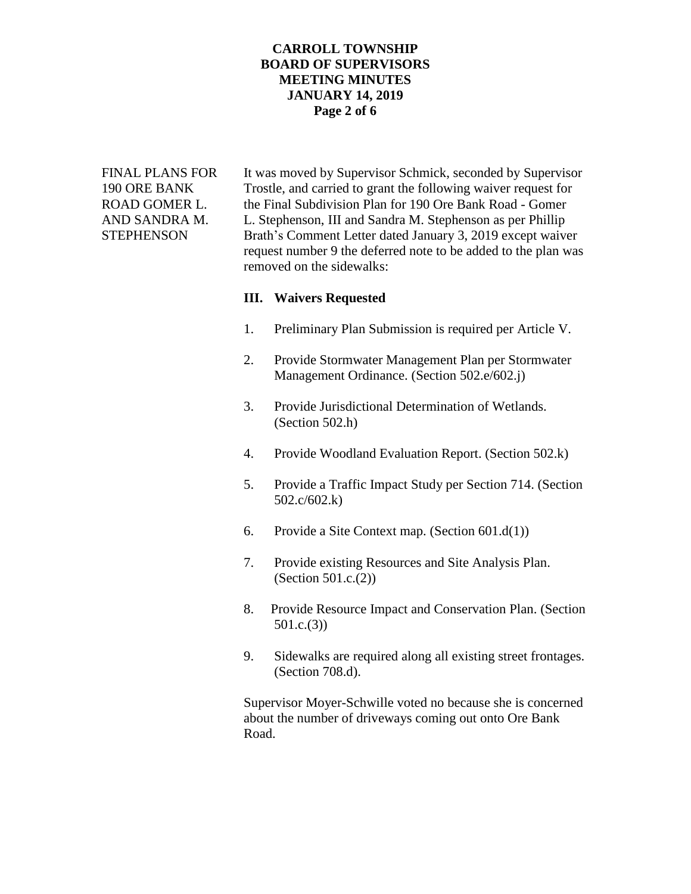# **CARROLL TOWNSHIP BOARD OF SUPERVISORS MEETING MINUTES JANUARY 14, 2019 Page 2 of 6**

FINAL PLANS FOR It was moved by Supervisor Schmick, seconded by Supervisor 190 ORE BANK Trostle, and carried to grant the following waiver request for ROAD GOMER L. the Final Subdivision Plan for 190 Ore Bank Road - Gomer AND SANDRA M. L. Stephenson, III and Sandra M. Stephenson as per Phillip STEPHENSON Brath's Comment Letter dated January 3, 2019 except waiver request number 9 the deferred note to be added to the plan was removed on the sidewalks:

### **III. Waivers Requested**

- 1. Preliminary Plan Submission is required per Article V.
- 2. Provide Stormwater Management Plan per Stormwater Management Ordinance. (Section 502.e/602.j)
- 3. Provide Jurisdictional Determination of Wetlands. (Section 502.h)
- 4. Provide Woodland Evaluation Report. (Section 502.k)
- 5. Provide a Traffic Impact Study per Section 714. (Section 502.c/602.k)
- 6. Provide a Site Context map. (Section 601.d(1))
- 7. Provide existing Resources and Site Analysis Plan. (Section 501.c.(2))
- 8. Provide Resource Impact and Conservation Plan. (Section 501.c.(3))
- 9. Sidewalks are required along all existing street frontages. (Section 708.d).

Supervisor Moyer-Schwille voted no because she is concerned about the number of driveways coming out onto Ore Bank Road.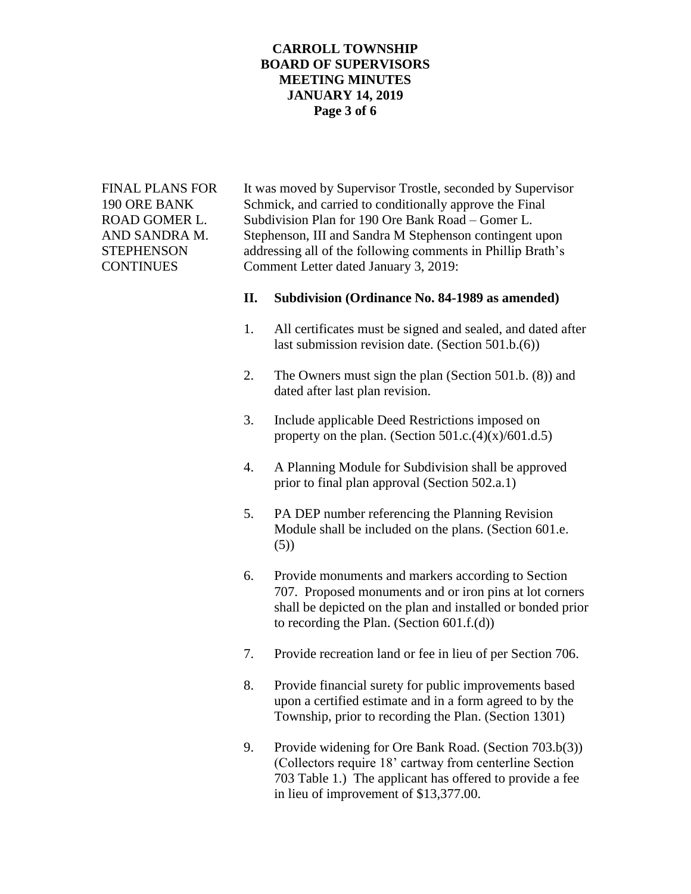# **CARROLL TOWNSHIP BOARD OF SUPERVISORS MEETING MINUTES JANUARY 14, 2019 Page 3 of 6**

FINAL PLANS FOR It was moved by Supervisor Trostle, seconded by Supervisor 190 ORE BANK Schmick, and carried to conditionally approve the Final ROAD GOMER L. Subdivision Plan for 190 Ore Bank Road – Gomer L. AND SANDRA M. Stephenson, III and Sandra M Stephenson contingent upon STEPHENSON addressing all of the following comments in Phillip Brath's CONTINUES Comment Letter dated January 3, 2019:

#### **II. Subdivision (Ordinance No. 84-1989 as amended)**

- 1. All certificates must be signed and sealed, and dated after last submission revision date. (Section 501.b.(6))
- 2. The Owners must sign the plan (Section 501.b. (8)) and dated after last plan revision.
- 3. Include applicable Deed Restrictions imposed on property on the plan. (Section  $501.c.(4)(x)/601.d.5)$ )
- 4. A Planning Module for Subdivision shall be approved prior to final plan approval (Section 502.a.1)
- 5. PA DEP number referencing the Planning Revision Module shall be included on the plans. (Section 601.e. (5))
- 6. Provide monuments and markers according to Section 707. Proposed monuments and or iron pins at lot corners shall be depicted on the plan and installed or bonded prior to recording the Plan. (Section 601.f.(d))
- 7. Provide recreation land or fee in lieu of per Section 706.
- 8. Provide financial surety for public improvements based upon a certified estimate and in a form agreed to by the Township, prior to recording the Plan. (Section 1301)
- 9. Provide widening for Ore Bank Road. (Section 703.b(3)) (Collectors require 18' cartway from centerline Section 703 Table 1.) The applicant has offered to provide a fee in lieu of improvement of \$13,377.00.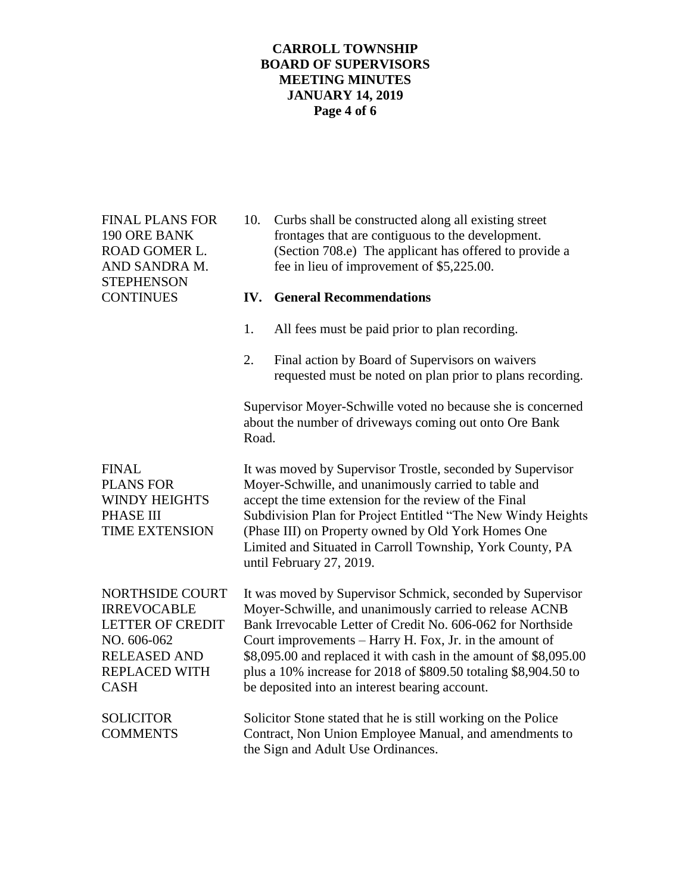# **CARROLL TOWNSHIP BOARD OF SUPERVISORS MEETING MINUTES JANUARY 14, 2019 Page 4 of 6**

**STEPHENSON** 

FINAL PLANS FOR 10. Curbs shall be constructed along all existing street 190 ORE BANK frontages that are contiguous to the development. ROAD GOMER L. (Section 708.e) The applicant has offered to provide a AND SANDRA M. fee in lieu of improvement of \$5,225.00.

### CONTINUES **IV. General Recommendations**

- 1. All fees must be paid prior to plan recording.
- 2. Final action by Board of Supervisors on waivers requested must be noted on plan prior to plans recording.

Supervisor Moyer-Schwille voted no because she is concerned about the number of driveways coming out onto Ore Bank Road.

FINAL It was moved by Supervisor Trostle, seconded by Supervisor PLANS FOR Moyer-Schwille, and unanimously carried to table and WINDY HEIGHTS accept the time extension for the review of the Final PHASE III Subdivision Plan for Project Entitled "The New Windy Heights TIME EXTENSION (Phase III) on Property owned by Old York Homes One Limited and Situated in Carroll Township, York County, PA until February 27, 2019.

NORTHSIDE COURT It was moved by Supervisor Schmick, seconded by Supervisor IRREVOCABLE Moyer-Schwille, and unanimously carried to release ACNB LETTER OF CREDIT Bank Irrevocable Letter of Credit No. 606-062 for Northside NO. 606-062 Court improvements – Harry H. Fox, Jr. in the amount of RELEASED AND \$8,095.00 and replaced it with cash in the amount of \$8,095.00 REPLACED WITH plus a 10% increase for 2018 of \$809.50 totaling \$8,904.50 to CASH be deposited into an interest bearing account.

SOLICITOR Solicitor Stone stated that he is still working on the Police COMMENTS Contract, Non Union Employee Manual, and amendments to the Sign and Adult Use Ordinances.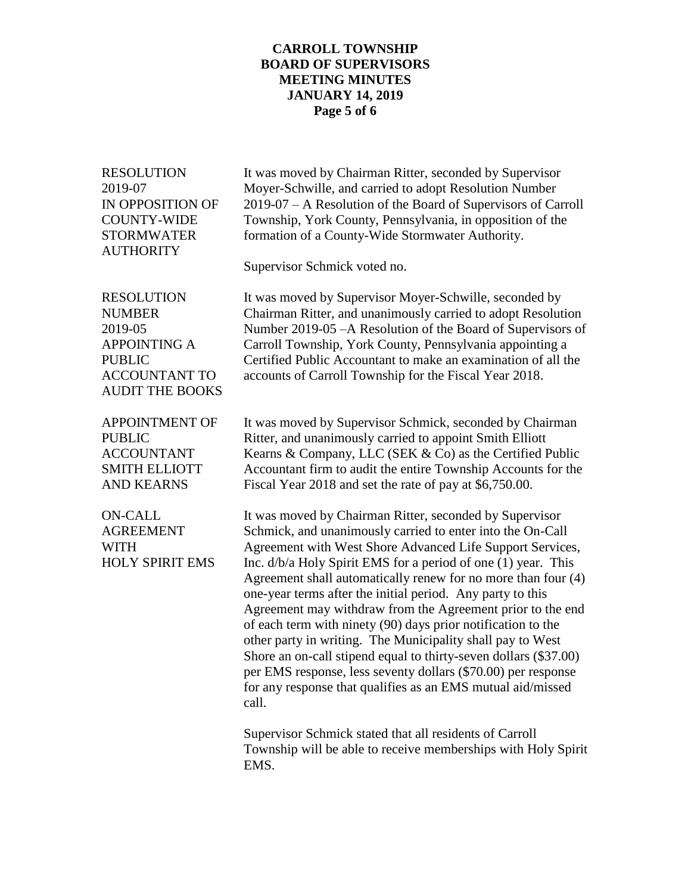## **CARROLL TOWNSHIP BOARD OF SUPERVISORS MEETING MINUTES JANUARY 14, 2019 Page 5 of 6**

RESOLUTION It was moved by Chairman Ritter, seconded by Supervisor 2019-07 Moyer-Schwille, and carried to adopt Resolution Number IN OPPOSITION OF 2019-07 – A Resolution of the Board of Supervisors of Carroll COUNTY-WIDE Township, York County, Pennsylvania, in opposition of the STORMWATER formation of a County-Wide Stormwater Authority. **AUTHORITY** Supervisor Schmick voted no. RESOLUTION It was moved by Supervisor Moyer-Schwille, seconded by NUMBER Chairman Ritter, and unanimously carried to adopt Resolution 2019-05 Number 2019-05 –A Resolution of the Board of Supervisors of APPOINTING A Carroll Township, York County, Pennsylvania appointing a PUBLIC Certified Public Accountant to make an examination of all the ACCOUNTANT TO accounts of Carroll Township for the Fiscal Year 2018. AUDIT THE BOOKS APPOINTMENT OF It was moved by Supervisor Schmick, seconded by Chairman PUBLIC Ritter, and unanimously carried to appoint Smith Elliott ACCOUNTANT Kearns & Company, LLC (SEK & Co) as the Certified Public SMITH ELLIOTT Accountant firm to audit the entire Township Accounts for the AND KEARNS Fiscal Year 2018 and set the rate of pay at \$6,750.00. ON-CALL It was moved by Chairman Ritter, seconded by Supervisor AGREEMENT Schmick, and unanimously carried to enter into the On-Call WITH Agreement with West Shore Advanced Life Support Services, HOLY SPIRIT EMS Inc.  $d/b/a$  Holy Spirit EMS for a period of one (1) year. This Agreement shall automatically renew for no more than four (4) one-year terms after the initial period. Any party to this Agreement may withdraw from the Agreement prior to the end of each term with ninety (90) days prior notification to the other party in writing. The Municipality shall pay to West Shore an on-call stipend equal to thirty-seven dollars (\$37.00) per EMS response, less seventy dollars (\$70.00) per response for any response that qualifies as an EMS mutual aid/missed call. Supervisor Schmick stated that all residents of Carroll Township will be able to receive memberships with Holy Spirit EMS.